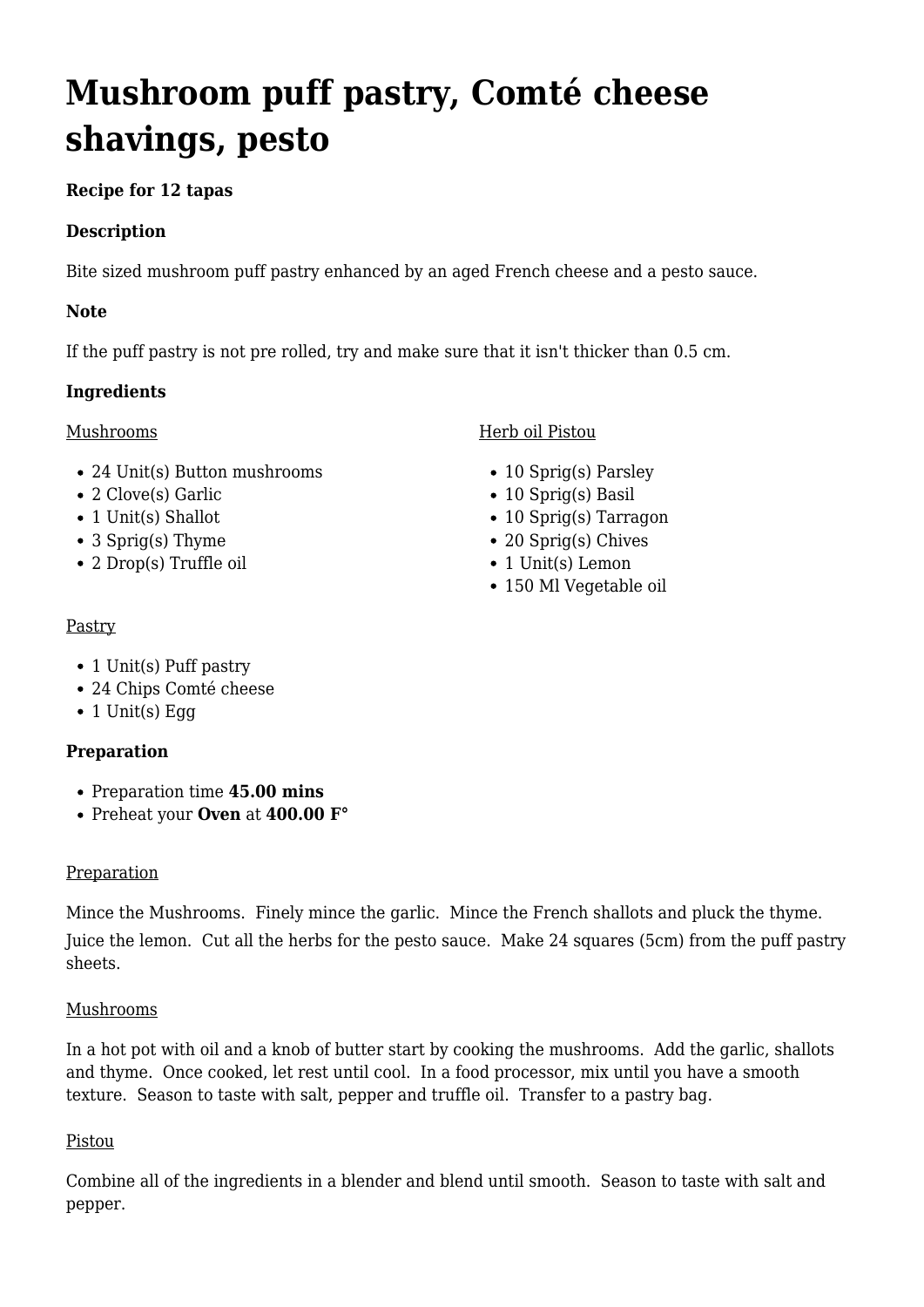# **Mushroom puff pastry, Comté cheese shavings, pesto**

## **Recipe for 12 tapas**

### **Description**

Bite sized mushroom puff pastry enhanced by an aged French cheese and a pesto sauce.

#### **Note**

If the puff pastry is not pre rolled, try and make sure that it isn't thicker than 0.5 cm.

#### **Ingredients**

#### Mushrooms

- 24 Unit(s) Button mushrooms
- 2 Clove(s) Garlic
- 1 Unit(s) Shallot
- 3 Sprig(s) Thyme
- 2 Drop(s) Truffle oil

#### Herb oil Pistou

- 10 Sprig(s) Parsley
- 10 Sprig(s) Basil
- 10 Sprig(s) Tarragon
- 20 Sprig(s) Chives
- 1 Unit(s) Lemon
- 150 Ml Vegetable oil

#### Pastry

- 1 Unit(s) Puff pastry
- 24 Chips Comté cheese
- $\bullet$  1 Unit(s) Egg

#### **Preparation**

- Preparation time **45.00 mins**
- Preheat your **Oven** at **400.00 F°**

#### **Preparation**

Mince the Mushrooms. Finely mince the garlic. Mince the French shallots and pluck the thyme.

Juice the lemon. Cut all the herbs for the pesto sauce. Make 24 squares (5cm) from the puff pastry sheets.

#### Mushrooms

In a hot pot with oil and a knob of butter start by cooking the mushrooms. Add the garlic, shallots and thyme. Once cooked, let rest until cool. In a food processor, mix until you have a smooth texture. Season to taste with salt, pepper and truffle oil. Transfer to a pastry bag.

#### Pistou

Combine all of the ingredients in a blender and blend until smooth. Season to taste with salt and pepper.